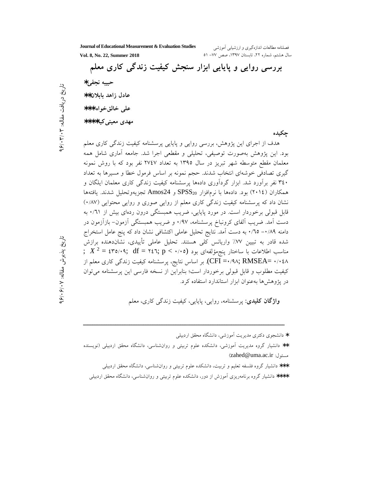Journal of Educational Measurement & Evaluation Studies

فصلنامه مطالعات اندازهگیری و ارزشیابی آموزشی سال هشتم، شماره ٢٢، تابستان ١٣٩٧، صص ٧٧- ٥١

Vol. 8, No. 22, Summer 2018

بررسی روایی و پایایی ابزار سنجش کیفیت زندگی کاری معلم حبيبه نجفي\* عادل زاهد ىايلان\*\* علي خالق خواه \*\*\* مهدی معینی کیا\*\*\*\* حكىدە

هدف از اجرای این پژوهش، بررسی روایی و پایایی پرسشنامه کیفیت زندگی کاری معلم بود. این پژوهش بهصورت توصیفی، تحلیلی و مقطعی اجرا شد. جامعه آماری شامل همه معلمان مقطع متوسطه شهر تبریز در سال ۱۳۹۵ به تعداد ۲۷٤۷ نفر بود که با روش نمونه گیری تصادفی خوشهای انتخاب شدند. حجم نمونه بر اساس فرمول خطا و مسیرها به تعداد ۳٤٠ نفر برأورد شد. ابزار گرداًوری دادهها پرسشنامه کیفیت زندگی کاری معلمان ایلگان و همكاران (٢٠١٤) بود. دادهها با نرمافزار SPSS20 و Amos24 تجزيهوتحليل شدند. يافتهها نشان داد که پرسشنامه کیفیت زندگی کاری معلم از روایی صوری و روایی محتوایی (۰/۸۷) قابل قبولی برخوردار است. در مورد پایایی، ضریب همبستگی درون ردهای بیش از ۰/٦١ به دست آمد. ضریب آلفای کرونباخ پرسشنامه، ۹۷/۰ و ضریب همبستگی آزمون- بازآزمون در دامنه ۰/۸۹– ۰/٦٥ به دست آمد. نتايج تحليل عاملي اكتشافي نشان داد كه پنج عامل استخراج شده قادر به تبیین ۷۷٪ واریانس کلی هستند. تحلیل عاملی تأییدی، نشاندهنده برازش ;  $X^2 = \epsilon \text{mod} \cdot \text{q}$ , df = ۲٤٦; p <  $\cdot \cdot \cdot \text{o}$ ) باختار پنجمؤلفهای بود CFI =٠/٩٨; RMSEA= ٠/٠٤٨). بر اساس نتايج، پرسشنامه كيفيت زندگي كارى معلم از کیفیت مطلوب و قابل قبولی برخوردار است؛ بنابراین از نسخه فارسی این پرسشنامه می توان در پژوهش ها به عنوان ابزار استاندار د استفاده کرد.

**واژگان کلیدی**: پرسشنامه، روایی، پایایی، کیفیت زندگی کاری، معلم

\* دانشجوی دکتری مدیریت آموزشی، دانشگاه محقق اردبیلی \*\* دانشیار گروه مدیریت آموزشی، دانشکده علوم تربیتی و روانشناسی، دانشگاه محقق اردبیلی (نویسنده مسئول: zahed@uma.ac.ir) \*\*\* دانشیار گروه فلسفه تعلیم و تربیت، دانشکده علوم تربیتی و روانشناسی، دانشگاه محقق اردبیلی \*\*\*\* دانشیار گروه برنامهریزی أموزش از دور، دانشکده علوم تربیتی و روان(شناسی، دانشگاه محقق اردبیلی

تاريخ پذيرش مقاله: ٧٠/٠۶/٠٧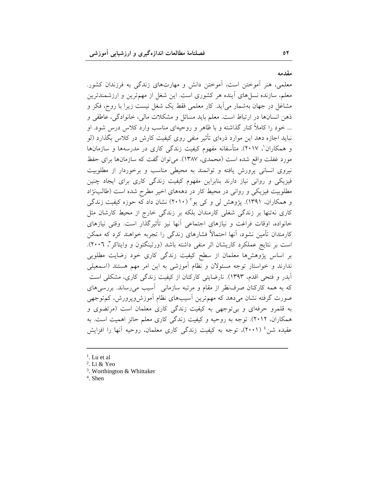مقدمه

معلمی، هنر آموختن است، آموختن دانش و مهارتهای زندگی به فرزندان کشور. معلم، سازنده نسلهای اّینده هر کشوری است. این شغل از مهمترین و ارزشمندترین مشاغل در جهان بهشمار می آید. کار معلمی فقط یک شغل نیست زیرا با روح، فکر و ذهن انسانها در ارتباط است. معلم بايد مسائل و مشكلات مالي، خانوادگي، عاطفي و ... خود را کاملاً کنار گذاشته و با ظاهر و روحیهای مناسب وارد کلاس درس شود. او نباید اجازه دهد این موارد ذرهای تأثیر منفی روی کیفیت کارش در کلاس بگذارد (لو و همکاران'، ۲۰۱۷). متأسفانه مفهوم کیفیت زندگی کاری در مدرسهها و سازمانها مورد غفلت واقع شده است (محمدی، ۱۳۸۷). می توان گفت که سازمانها برای حفظ نیروی انسانی پرورش یافته و توانمند به محیطی مناسب و برخوردار از مطلوبیت فیزیکی و روانی نیاز دارند بنابراین مفهوم کیفیت زندگی کاری برای ایجاد چنین مطلوبیت فیزیکی و روانی در محیط کار در دهههای اخیر مطرح شده است (طالبنژاد و همکاران، ۱۳۹۱). پژوهش لی و کی یو<sup>۲</sup> (۲۰۱۰) نشان داد که حوزه کیفیت زندگی کاری نهتنها بر زندگی شغلی کارمندان بلکه بر زندگی خارج از محیط کارشان مثل خانواده، اوقات فراغت و نیازهای اجتماعی آنها نیز تأثیرگذار است. وقتی نیازهای کارمندان تأمین نشود، آنها احتمالاً فشارهای زندگی را تجربه خواهند کرد که ممکن است بر نتایج عملکرد کاریشان اثر منفی داشته باشد (ورتینگتون و وایتاکر"، ۲۰۰٦). بر اساس پژوهشها معلمان از سطح کیفیت زندگی کاری خود رضایت مطلوبی ندارند و خواستار توجه مسئولان و نظام آموزشی به این امر مهم هستند (اسمعیلی آبدر و فتحی اقدم، ۱۳۹۳). نارضایتی کارکنان از کیفیت زندگی کاری، مشکلی است که به همه کارکنان صرفنظر از مقام و مرتبه سازمانی آسیب می رساند. بررسی های صورت گرفته نشان می دهد که مهم ترین آسیبهای نظام آموزش وپرورش، کم توجهی به قلمرو حرفهای و بی توجهی به کیفیت زندگی کاری معلمان است (مرتضوی و همکاران، ۲۰۱۲). توجه به روحیه و کیفیت زندگی کاری معلم حائز اهمیت است. به عقیده شن<sup>، (</sup> (۲۰۰۱)، توجه به کیفیت زندگی کاری معلمان، روحیه آنها را افزایش

- $<sup>1</sup>$ . Lu et al</sup>
- <sup>2</sup>. Li & Yeo
- <sup>3</sup>. Worthington & Whittaker
- $4.$  Shen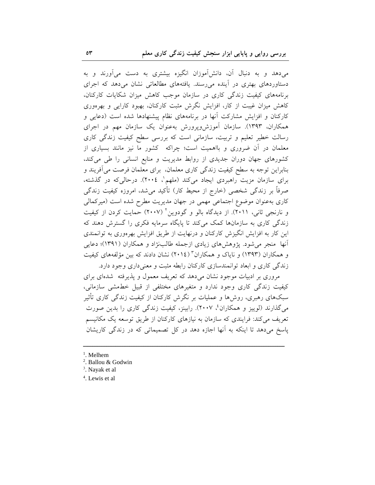میدهد و به دنبال آن، دانشآموزان انگیزه بیشتری به دست میآورند و به دستاوردهای بهتری در آینده می رسند. یافتههای مطالعاتی نشان می دهد که اجرای برنامههای کیفیت زندگی کاری در سازمان موجب کاهش میزان شکایات کارکنان، کاهش میزان غیبت از کار، افزایش نگرش مثبت کارکنان، بهبود کارایی و بهرهوری کارکنان و افزایش مشارکت آنها در برنامههای نظام پیشنهادها شده است (دعایی و همکاران، ۱۳۹۳). سازمان آموزشوپرورش بهعنوان یک سازمان مهم در اجرای رسالت خطیر تعلیم و تربیت، سازمانی است که بررسی سطح کیفیت زندگی کاری معلمان در آن ضروری و بااهمیت است؛ چراکه کشور ما نیز مانند بسیاری از کشورهای جهان دوران جدیدی از روابط مدیریت و منابع انسانی را طی میکند، بنابراین توجه به سطح کیفیت زندگی کاری معلمان، برای معلمان فرصت می آفریند و برای سازمان مزیت راهبردی ایجاد میکند (ملهم'، ٢٠٠٤). درحالیکه در گذشته، صرفاً بر زندگی شخصی (خارج از محیط کار) تأکید میشد، امروزه کیفیت زندگی کاری بهعنوان موضوع اجتماعی مهمی در جهان مدیریت مطرح شده است (میرکمالی و نارنجی ثانی، ۲۰۱۱). از دیدگاه بالو و گودوین<sup>۲</sup> (۲۰۰۷) حمایت کردن از کیفیت زندگی کاری به سازمانها کمک میکند تا پایگاه سرمایه فکری را گسترش دهند که این کار به افزایش انگیزش کارکنان و درنهایت از طریق افزایش بهر موری به توانمندی أنها ً منجر مي شود. يژوهش هاي زيادي ازجمله طالبنژاد و همكاران (١٣٩١)؛ دعايي و همکاران (۱۳۹۳) و نایاک و همکاران " (۲۰۱٤) نشان دادند که بین مؤلفههای کیفیت زندگی کاری و ابعاد توانمندسازی کارکنان رابطه مثبت و معنی داری وجود دارد.

مروری بر ادبیات موجود نشان میدهد که تعریف معمول و پذیرفته شدهای برای کیفیت زندگی کاری وجود ندارد و متغیرهای مختلفی از قبیل خطمشی سازمانی، سبکهای رهبری، روشها و عملیات بر نگرش کارکنان از کیفیت زندگی کاری تأثیر می گذارند (لوییز و همکاران ٔ، ۲۰۰۷). رابینز، کیفیت زندگی کاری را بدین صورت تعریف می کند: فرایندی که سازمان به نیازهای کارکنان از طریق توسعه یک مکانیسم پاسخ میدهد تا اینکه به آنها اجازه دهد در کل تصمیماتی که در زندگی کاریشان

- $<sup>1</sup>$ . Melhem</sup>
- <sup>2</sup>. Ballou & Godwin
- <sup>3</sup>. Navak et al
- <sup>4</sup>. Lewis et al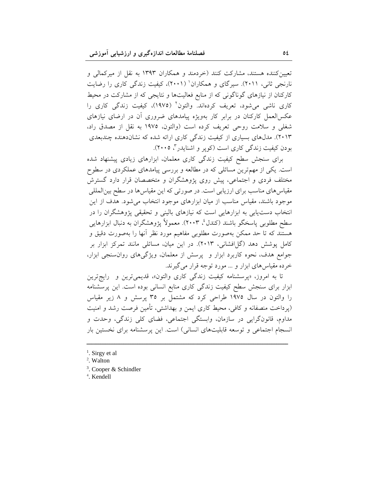تعیین کننده هستند، مشارکت کنند (خردمند و همکاران ۱۳۹۳ به نقل از میرکمالی و نارنجی ثانی، ۲۰۱۱). سیرگای و همکاران' (۲۰۰۱)، کیفیت زندگی کاری را رضایت کارکنان از نیازهای گوناگونی که از منابع فعالیتها و نتایجی که از مشارکت در محیط کاری ناشی میشود، تعریف کردهاند. والتون<sup>۲</sup> (۱۹۷۵)، کیفیت زندگی کاری را عکسالعمل کارکنان در برابر کار بهویژه پیامدهای ضروری آن در ارضای نیازهای شغلی و سلامت روحی تعریف کرده است (والتون، ۱۹۷۵ به نقل از مصدق راد، ۲۰۱۳). مدلهای بسیاری از کیفیت زندگی کاری ارائه شده که نشاندهنده چندبعدی بودن کیفیت زندگی کاری است (کویر و اشنایدر"، ۲۰۰۵).

برای سنجش سطح کیفیت زندگی کاری معلمان، ابزارهای زیادی پیشنهاد شده است. یکی از مهمترین مسائلی که در مطالعه و بررسی پیامدهای عملکردی در سطوح مختلف فردی و اجتماعی، پیش روی پژوهشگران و متخصصان قرار دارد گسترش مقیاس های مناسب برای ارزیابی است. در صورتی که این مقیاس ها در سطح بین|لمللی موجود باشند، مقیاس مناسب از میان ابزارهای موجود انتخاب می شود. هدف از این انتخاب دست یابی به ابزارهایی است که نیازهای بالینی و تحقیقی پژوهشگران را در سطح مطلوبی پاسخگو باشند (کندلءٔ، ۲۰۰۳). معمولاً پژوهشگران به دنبال ابزارهایی هستند که تا حد ممکن بهصورت مطلوبی مفاهیم مورد نظر آنها را بهصورت دقیق و کامل پوشش دهد (گلافشانی، ۲۰۱۳). در این میان، مسائلی مانند تمرکز ابزار بر جوامع هدف، نحوه کاربرد ابزار و پرسش از معلمان، ویژگیهای روان سنجی ابزار، خرده مقیاسهای ابزار و … مورد توجه قرار می گیرند.

تا به امروز، «پرسشنامه کیفیت زندگ<sub>ی</sub> کاری والتون»، قدیمیترین و رایجترین ابزار برای سنجش سطح کیفیت زندگی کاری منابع انسانی بوده است. این پرسشنامه را والتون در سال ۱۹۷۵ طراحی کرد که مشتمل بر ۳۵ پرسش و ۸ زیر مقیاس (پرداخت منصفانه و کافی، محیط کاری ایمن و بهداشتی، تأمین فرصت رشد و امنیت مداوم، قانونگرايي در سازمان، وابستگي اجتماعي، فضاي كلي زندگي، وحدت و انسجام اجتماعی و توسعه قابلیتهای انسانی) است. این پرسشنامه برای نخستین بار

<sup>4</sup>. Kendell

<sup>&</sup>lt;sup>1</sup>. Sirgy et al.

<sup>&</sup>lt;sup>2</sup>. Walton

<sup>&</sup>lt;sup>3</sup>. Cooper & Schindler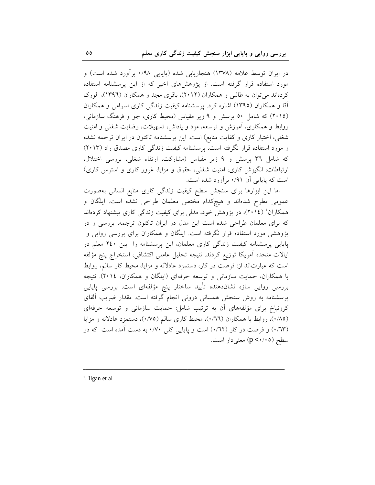در ایران توسط علامه (۱۳۷۸) هنجاریابی شده (پایایی ۰/۹۸ برآورد شده است) و مورد استفاده قرار گرفته است. از پژوهشهای اخیر که از این پرسشنامه استفاده کردهاند می توان به طالبی و همکاران (۲۰۱۲)، باقری مجد و همکاران (۱۳۹٦)، لورک آقا و همکاران (۱۳۹۵) اشاره کرد. پرسشنامه کیفیت زندگی کاری اسوامی و همکاران (۲۰۱۵) که شامل ٥٠ پرسش و ٩ زير مقياس (محيط کاري، جو و فرهنگ سازماني، روابط و همکاری، آموزش و توسعه، مزد و پاداش، تسهیلات، رضایت شغلی و امنیت شغلی، اختیار کاری و کفایت منابع) است. این پرسشنامه تاکنون در ایران ترجمه نشده و مورد استفاده قرار نگرفته است. پرسشنامه کیفیت زندگی کاری مصدق راد (۲۰۱۳) که شامل ۳٦ پرسش و ۹ زیر مقیاس (مشارکت، ارتقاء شغلی، بررسی اختلال. ارتباطات، انگیزش کاری، امنیت شغلی، حقوق و مزایا، غرور کاری و استرس کاری) است که پایایی آن ۰/۹۱ بر آورد شده است.

اما این ابزارها برای سنجش سطح کیفیت زندگی کاری منابع انسانی بهصورت عمومی مطرح شدهاند و هیچکدام مختص معلمان طراحی نشده است. ایلگان و همکاران ( ۲۰۱٤)، در پژوهش خود، مدلی برای کیفیت زندگی کاری پیشنهاد کردهاند که برای معلمان طراحی شده است این مدل در ایران تاکنون ترجمه، بررسی و در یژوهشی مورد استفاده قرار نگرفته است. ایلگان و همکاران برای بررسی روایی و پایایی پرسشنامه کیفیت زندگی کاری معلمان، این پرسشنامه را بین ۲٤۰ معلم در ايالات متحده أمريكا توزيع كردند. نتيجه تحليل عاملي اكتشافي، استخراج پنج مؤلفه است که عبارتاند از: فرصت در کار، دستمزد عادلانه و مزایا، محیط کار سالم، روابط با همکاران، حمایت سازمانی و توسعه حرفهای (ایلگان و همکاران، ۲۰۱٤). نتیجه بررسی روایی سازه نشاندهنده تأیید ساختار پنج مؤلفهای است. بررسی پایایی پرسشنامه به روش سنجش همسانی درونی انجام گرفته است. مقدار ضریب آلفای کرونباخ برای مؤلفههای آن به ترتیب شامل: حمایت سازمانی و توسعه حرفهای (٠/٨٥)، روابط با همکاران (٠/٦٦)، محیط کاری سالم (٠/٧٥)، دستمزد عادلانه و مزايا (٦٣/٠) و فرصت در كار (٠/٦٢) است و پايايي كلي ٠/٧٠ به دست أمده است كه در سطح (p < · / • ٥) معنى دار است.

<sup>1</sup>. Ilgan et al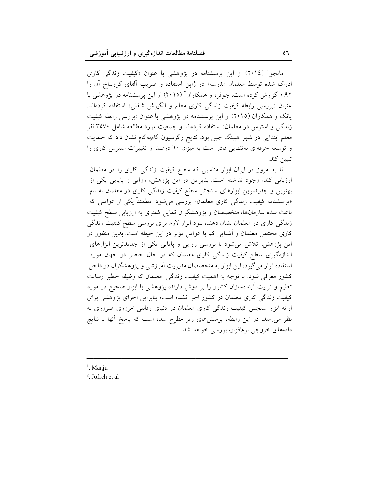مانجو<sup>۱</sup> (۲۰۱٤) از این پرسشنامه در پژوهشی با عنوان «کیفیت زندگی کاری ادراک شده توسط معلمان مدرسه» در ژاپن استفاده و ضریب آلفای کرونباخ آن را ۹۲٫ گزارش کرده است. جوفره و همکاران آ (۲۰۱۵) از این پرسشنامه در پژوهشی با عنوان «بررسی رابطه کیفیت زندگی کاری معلم و انگیزش شغلی» استفاده کردهاند. یانگ و همکاران (۲۰۱۵) از این پرسشنامه در پژوهشی با عنوان «بررسی رابطه کیفیت زندگی و استرس در معلمان» استفاده کردهاند و جمعیت مورد مطالعه شامل ۳۵۷۰ نفر معلم ابتدایی در شهر هپینگ چین بود. نتایج رگرسیون گامبهگام نشان داد که حمایت و توسعه حرفهای بهتنهایی قادر است به میزان ٦٠ درصد از تغییرات استرس کاری را تسن كند.

تا به امروز در ایران ابزار مناسبی که سطح کیفیت زندگی کاری را در معلمان ارزیابی کند، وجود نداشته است. بنابراین در این پژوهش، روایی و پایایی یکی از بهترین و جدیدترین ابزارهای سنجش سطح کیفیت زندگی کاری در معلمان به نام «پرسشنامه کیفیت زندگی کاری معلمان» بررسی میشود. مطمئناً یکی از عواملی که باعث شده سازمانها، متخصصان و پژوهشگران تمایل کمتری به ارزیابی سطح کیفیت زندگی کاری در معلمان نشان دهند، نبود ابزار لازم برای بررسی سطح کیفیت زندگی کاری مختص معلمان و آشنایی کم با عوامل مؤثر در این حیطه است. بدین منظور در این پژوهش، تلاش میشود با بررسی روایی و پایایی یکی از جدیدترین ابزارهای اندازهگیری سطح کیفیت زندگی کاری معلمان که در حال حاضر در جهان مورد استفاده قرار می گیرد، این ابزار به متخصصان مدیریت أموزشی و پژوهشگران در داخل کشور معرفی شود. با توجه به اهمیت کیفیت زندگی ِ معلمان که وظیفه خطیر رسالت تعلیم و تربیت آیندهسازان کشور را بر دوش دارند، پژوهشی با ابزار صحیح در مورد کیفیت زندگی کاری معلمان در کشور اجرا نشده است؛ بنابراین اجرای پژوهشی برای ارائه ابزار سنجش کیفیت زندگی کاری معلمان در دنیای رقابتی امروزی ضروری به نظر می رسد. در این رابطه، پرسشهای زیر مطرح شده است که پاسخ آنها با نتایج دادههای خروجی نرمافزار، بررسی خواهد شد.

 $<sup>1</sup>$ . Manju</sup>

 $2$ . Jofreh et al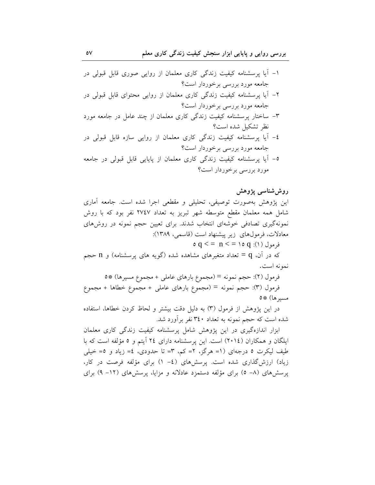### روشششناسی پژوهش

این پژوهش بهصورت توصیفی، تحلیلی و مقطعی اجرا شده است. جامعه آماری شامل همه معلمان مقطع متوسطه شهر تبریز به تعداد ۲۷٤۷ نفر بود که با روش نمونهگیری تصادفی خوشهای انتخاب شدند. برای تعیین حجم نمونه در روشهای معادلات، فرمولهای زیر پیشنهاد است (قاسمی، ۱۳۸۹):

 $q < p n < q$  (۱):  $q > q$  (۱)

که در آن، q = تعداد متغیرهای مشاهده شده (گویه های پرسشنامه) و n حجم نمونه است.

فرمول (٢): حجم نمونه = (مجموع بارهاي عاملي + مجموع مسيرها) #0 فرمول (٣): حجم نمونه = (مجموع بارهاى عاملي + مجموع خطاها + مجموع مسيرها) #0

در این پژوهش از فرمول (۳) به دلیل دقت بیشتر و لحاظ کردن خطاها، استفاده شده است که حجم نمونه به تعداد ۳٤٠ نفر برآورد شد.

ابزار اندازهگیری در این پژوهش شامل پرسشنامه کیفیت زندگی کاری معلمان ایلگان و همکاران (٢٠١٤) است. این پرسشنامه دارای ٢٤ آیتم و ٥ مؤلفه است که با طیف لیکرت ٥ درجهای (١= هرگز، ٢= کم، ٣= تا حدودی، ٤= زیاد و ٥= خیلی زیاد) ارزش گذاری شده است. پرسشهای (٤- ١) برای مؤلفه فرصت در كار، پرسشهای (۸– ٥) برای مؤلفه دستمزد عادلانه و مزایا، پرسشهای (۱۲– ۹) برای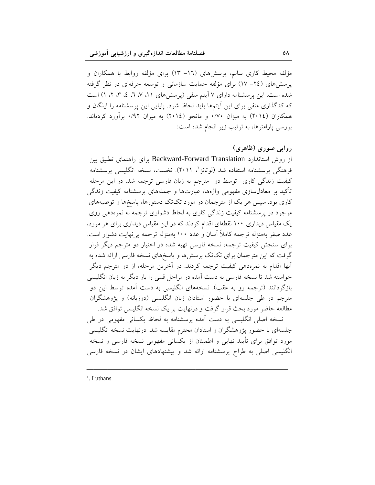مؤلفه محیط کاری سالم، پرسشهای (١٦- ١٣) برای مؤلفه روابط با همکاران و پرسشهای (٢٤– ١٧) برای مؤلفه حمایت سازمانی و توسعه حرفهای در نظر گرفته شده است. این پرسشنامه دارای ۷ آیتم منفی (پرسش های ۱۱، ۷، ۲، ۲، ۲، ۲) است که کدگذاری منفی برای این آیتمها باید لحاظ شود. پایایی این پرسشنامه را ایلگان و همکاران (٢٠١٤) به ميزان ٧٠/٠ و مانجو (٢٠١٤) به ميزان ٩٢/٠ برآورد كردهاند. بررسی یارامترها، به ترتیب زیر انجام شده است:

## روايي صوري (ظاهري)

از روش استاندارد Backward-Forward Translation برای راهنمای تطبیق بین فرهنگی پرسشنامه استفاده شد (لوتانز<sup>י</sup>، ۲۰۱۱). نخست، نسخه انگلیسی پرسشنامه کیفیت زندگی کاری توسط دو مترجم به زبان فارسی ترجمه شد. در این مرحله تأکید بر معادل سازی مفهومی واژهها، عبارتها و جملههای پرسشنامه کیفیت زندگی کاری بود. سپس هر یک از مترجمان در مورد تکتک دستورها، پاسخها و توصیههای موجود در پرسشنامه کیفیت زندگی کاری به لحاظ دشواری ترجمه به نمرهدهی روی یک مقیاس دیداری ۱۰۰ نقطهای اقدام کردند که در این مقیاس دیداری برای هر مورد، عدد صفر بهمنزله ترجمه کاملاً آسان و عدد ۱۰۰ بهمنزله ترجمه بینهایت دشوار است. برای سنجش کیفیت ترجمه، نسخه فارسی تهیه شده در اختیار دو مترجم دیگر قرار گرفت که این مترجمان برای تکتک پرسشها و پاسخهای نسخه فارسی ارائه شده به انها اقدام به نمرهدهی کیفیت ترجمه کردند. در آخرین مرحله، از دو مترجم دیگر خواسته شد تا نسخه فارسی به دست آمده در مراحل قبلی را بار دیگر به زبان انگلیسی بازگردانند (ترجمه رو به عقب). نسخههای انگلیسی به دست آمده توسط این دو مترجم در طی جلسهای با حضور استادان زبان انگلیسی (دوزبانه) و پژوهشگران مطالعه حاضر مورد بحث قرار گرفت و درنهایت بر یک نسخه انگلیسی توافق شد.

نسخه اصلی انگلیسی به دست آمده پرسشنامه به لحاظ یکسانی مفهومی در طی جلسهای با حضور پژوهشگران و استادان محترم مقایسه شد. درنهایت نسخه انگلیسی مورد توافق برای تأیید نهایی و اطمینان از یکسانی مفهومی نسخه فارسی و نسخه انگلیسی اصلی به طراح پرسشنامه ارائه شد و پیشنهادهای ایشان در نسخه فارسی

 $<sup>1</sup>$ . Luthans</sup>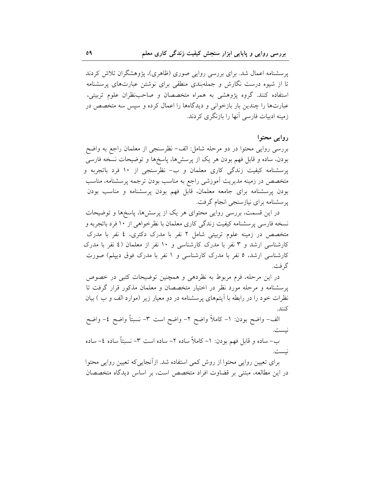پرسشنامه اعمال شد. برای بررسی روایی صوری (ظاهری)، پژوهشگران تلاش کردند تا از شیوه درست نگارش و جملهبندی منطقی برای نوشتن عبارتهای پرسشنامه استفاده کنند. گروه پژوهشی به همراه متخصصان و صاحبنظران علوم تربیتی، عبارتها را چندین بار بازخوانی و دیدگاهها را اعمال کرده و سپس سه متخصص در زمینه ادبیات فارسی آنها را بازنگری کردند.

## روايي محتوا

نست.

بررسی روایی محتوا در دو مرحله شامل: الف- نظرسنجی از معلمان راجع به واضح بودن، ساده و قابل فهم بودن هر یک از پرسشها، پاسخها و توضیحات نسخه فارسی پرسشنامه کیفیت زندگی کاری معلمان و ب- نظرسنجی از ١٠ فرد باتجربه و متخصص در زمینه مدیریت آموزشی راجع به مناسب بودن ترجمه پرسشنامه، مناسب بودن پرسشنامه برای جامعه معلمان، قابل فهم بودن پرسشنامه و مناسب بودن یر سشنامه برای نیازسنجی انجام گرفت.

در این قسمت، بررسی روایی محتوای هر یک از پرسشها، پاسخها و توضیحات نسخه فارسی پرسشنامه کیفیت زندگی کاری معلمان با نظرخواهی از ۱۰ فرد باتجربه و متخصص در زمینه علوم تربیتی شامل ۲ نفر با مدرک دکتری، ٤ نفر با مدرک کارشناسی ارشد و ۳ نفر با مدرک کارشناسی و ۱۰ نفر از معلمان (٤ نفر با مدرک کارشناسی ارشد، ٥ نفر با مدرک کارشناسی و ١ نفر با مدرک فوق دیپلم) صورت گر فت.

در این مرحله، فرم مربوط به نظردهی و همچنین توضیحات کتبی در خصوص پرسشنامه و مرحله مورد نظر در اختیار متخصصان و معلمان مذکور قرار گرفت تا نظرات خود را در رابطه با اَیتمهای پرسشنامه در دو معیار زیر (موارد الف و ب ) بیان كنند.

الف- واضع بودن: ١- كاملاً واضع ٢- واضع است ٣- نسبتاً واضع ٤- واضع نيست. ب– ساده و قابل فهم بودن: ١– كاملاً ساده ٢– ساده است ٣– نسبتاً ساده ٤– ساده

برای تعیین روایی محتوا از روش کمی استفاده شد. ازأنجاییکه تعیین روایی محتوا در این مطالعه، مبتنی بر قضاوت افراد متخصص است، بر اساس دیدگاه متخصصان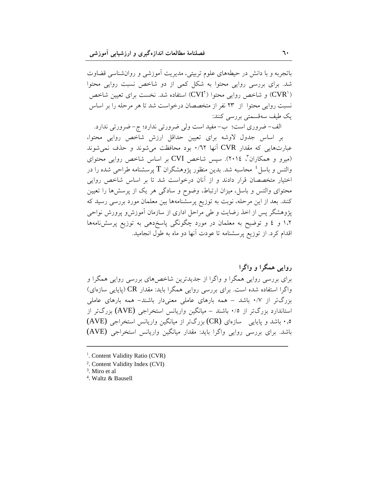باتجربه و با دانش در حیطههای علوم تربیتی، مدیریت آموزشی و روانشناسی قضاوت شد. برای بررسی روایی محتوا به شکل کمی از دو شاخص نسبت روایی محتوا ('CVR) و شاخص روایی محتوا ('CVI) استفاده شد. نخست برای تعیین شاخص نسبت روایی محتوا از ۲۳ نفر از متخصصان درخواست شد تا هر مرحله را بر اساس يک طيف سەقسمتى بورسى كنند:

الف- ضروری است؛ ب- مفید است ولی ضرورتی ندارد؛ ج- ضرورتی ندارد. بر اساس جدول لاوشه براي تعيين حداقل ارزش شاخص روايي محتوا، عبارتهایی که مقدار CVR آنها ۰/٦٢ بود محافظت می شوند و حذف نمی شوند (میرو و همکاران ، ۲۰۱٤). سپس شاخص CVI بر اساس شاخص روایی محتوای والتس و باسل ٔ محاسبه شد. بدین منظور پژوهشگران T پرسشنامه طراحی شده را در اختیار متخصصان قرار دادند و از آنان درخواست شد تا بر اساس شاخص روایی محتوای والتس و باسل، میزان ارتباط، وضوح و سادگی هر یک از پرسشها را تعیین کنند. بعد از این مرحله، نوبت به توزیع پرسشنامهها بین معلمان مورد بررسی رسید که پژوهشگر پس از اخذ رضایت و طی مراحل اداری از سازمان آموزشو پرورش نواحی ۱.۲ و ٤ و توضیح به معلمان در مورد چگونگی پاسخدهی به توزیع پرسشنامهها اقدام کرد. از توزیع پرسشنامه تا عودت آنها دو ماه به طوّل انجامید.

روایی همگرا و واگرا برای بررسی روایی همگرا و واگرا از جدیدترین شاخصهای بررسی روایی همگرا و واگرا استفاده شده است. برای بررسی روایی همگرا باید: مقدار CR (پایایی سازهای) بزرگتر از ۰/۷ باشد – همه بارهای عاملی معنیدار باشند- همه بارهای عاملی استاندارد بزرگتر از ۰/٥ باشند – میانگین واریانس استخراجی (AVE) بزرگتر از ۰٫۵ باشد و پایایی ِ سازمای (CR) بزرگتر از میانگین واریانس استخراجی (AVE) باشد. برای بررسی روایی واگرا باید: مقدار میانگین واریانس استخراجی (AVE)

<sup>&</sup>lt;sup>1</sup>. Content Validity Ratio (CVR)

<sup>&</sup>lt;sup>2</sup>. Content Validity Index (CVI)

<sup>&</sup>lt;sup>3</sup>. Miro et al

<sup>&</sup>lt;sup>4</sup>. Waltz & Bausell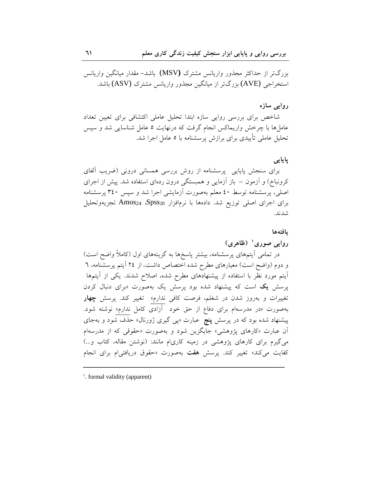بزرگتر از حداکثر مجذور واریانس مشترک (MSV) باشد– مقدار میانگین واریانس استخراجی (AVE) بزرگتر از میانگین مجذور واریانس مشترک (ASV) باشد.

## روايي سازه

شاخص برای بررسی روایی سازه ابتدا تحلیل عاملی اکتشافی برای تعیین تعداد عاملها با چرخش واریماکس انجام گرفت که درنهایت ٥ عامل شناسایی شد و سپس تحلیل عاملی تأییدی برای برازش پرسشنامه با ٥ عامل اجرا شد.

## یایایی

برای سنجش پایایی پرسشنامه از روش بررسی همسانی درونی (ضریب آلفای کرونباخ) و آزمون – باز آزمایی و همبستگی درون ردهای استفاده شد. پیش از اجرای اصلی، پرسشنامه توسط ٤٠ معلم بهصورت آزمایشی اجرا شد و سپس ٣٤٠ پرسشنامه برای اجرای اصلی توزیع شد. دادهها با نرمافزار Spss20 & Amos24 تجزیهوتحلیل شدند.

بافتهها

# روایی صوری ( (ظاهری) در تمامی آیتمهای پرسشنامه، بیشتر پاسخها به گزینههای اول (کاملاً واضح است) و دوم (واضح است) معیارهای مطرح شده اختصاص داشت. از ٢٤ آیتم پرسشنامه، ٦ اًیتم مورد نظر با استفاده از پیشنهادهای مطرح شده، اصلاح شدند. یکی از اَیتمها پرسش یک است که پیشنهاد شده بود پرسش یک بهصورت «برای دنبال کردن تغییرات و بهروز شدن در شغلم، فرصت کافی ندارم» تغییر کند. پرسش چهار بهصورت «در مدرسهام برای دفاع از حق خود آزادی کامل ندارم» نوشته شود. پیشنهاد شده بود که در پرسش **پنج** عبارت «پی گیری ژورنال» حذف شود و بهجای آن عبارت «کارهای پژوهشی» جایگزین شود و بهصورت «حقوقی که از مدرسهام می گیرم برای کارهای پژوهشی در زمینه کاریام مانند: (نوشتن مقاله، کتاب و...) کفایت میکند» تغییر کند. پرسش هفت بهصورت «حقوق دریافتی|م برای انجام

<sup>&</sup>lt;sup>1</sup>. formal validity (apparent)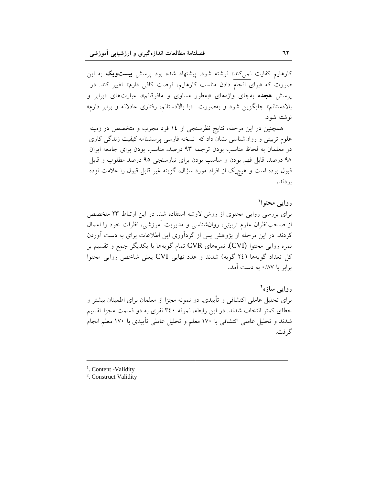کارهایم کفایت نمی کند» نوشته شود. پیشنهاد شده بود پرسش **بیستویک** به این صورت که «برای انجام دادن مناسب کارهایم، فرصت کافی دارم» تغییر کند. در پرسش هجده بهجای واژههای «بهطور مساوی و مافوقانم»، عبارتهای «برابر و بالادستانم» جایگزین شود و بهصورت «با بالادستانم، رفتاری عادلانه و برابر دارم» نوشته شود.

همچنین در این مرحله، نتایج نظرسنجی از ١٤ فرد مجرب و متخصص در زمینه علوم تربیتی و روان شناسی نشان داد که نسخه فارسی پرسشنامه کیفیت زندگی کاری در معلمان به لحاظ مناسب بودن ترجمه ۹۳ درصد، مناسب بودن برای جامعه ایران ۹۸ درصد، قابل فهم بودن و مناسب بودن برای نیازسنجی ۹۵ درصد مطلوب و قابل قبول بوده است و هیچیک از افراد مورد سؤال، گزینه غیر قابل قبول را علامت نزده بو دند.

### روایے محتوا`

برای بررسی روایی محتوی از روش لاوشه استفاده شد. در این ارتباط ۲۳ متخصص از صاحب نظران علوم تربیتی، روان شناسی و مدیریت آموزشی، نظرات خود را اعمال کردند. در این مرحله از پژوهش پس از گردآوری این اطلاعات برای به دست آوردن نمره روایی محتوا (CVI)، نمرههای CVR تمام گویهها با یکدیگر جمع و تقسیم بر کل تعداد گویهها (٢٤ گویه) شدند و عدد نهایی CVI یعنی شاخص روایی محتوا برابر با ۸۷/۰ به دست آمد.

روایے سازہ<sup>۲</sup> برای تحلیل عاملی اکتشافی و تأییدی، دو نمونه مجزا از معلمان برای اطمینان بیشتر و خطای کمتر انتخاب شدند. در این رابطه، نمونه ۳٤٠ نفری به دو قسمت مجزا تقسیم شدند و تحلیل عاملی اکتشافی با ۱۷۰ معلم و تحلیل عاملی تأییدی با ۱۷۰ معلم انجام گر فت.

<sup>1</sup>. Content -Validity

<sup>2</sup>. Construct Validity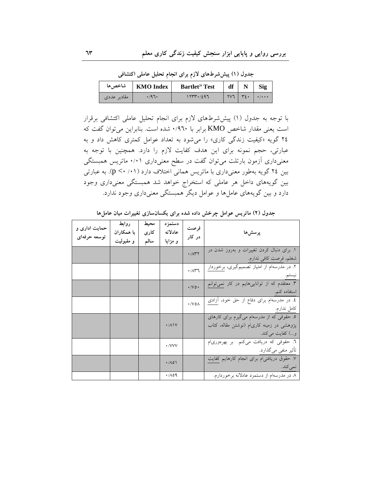جدول (١) پیش شرطهای لازم برای انجام تحلیل عاملی اکتشافی

|             | KMO Index   شاخص | <b>Bartlet<sup>'s</sup></b> Test | $df$   | <b>Sig</b>                      |
|-------------|------------------|----------------------------------|--------|---------------------------------|
| مقادیر عددی | ۱٬۹۶۰            | 1777.7297                        | $YV$ ٦ | $\rightarrow$ / $\rightarrow$ + |

با توجه به جدول (١) پیششرطهای لازم برای انجام تحلیل عاملی اکتشافی برقرار است یعنی مقدار شاخص KMO برابر با ۰/۹٦۰ شده است. بنابراین می توان گفت که ۲٤ گویه «کیفیت زندگی کاری» را میشود به تعداد عوامل کمتری کاهش داد و به عبارتی، حجم نمونه برای این هدف کفایت لازم را دارد. همچنین با توجه به معنیداری آزمون بارتلت میتوان گفت در سطح معنیداری ۰/۰۱ ماتریس همبستگی بین ٢٤ گویه بهطور معنیداری با ماتریس همانی اختلاف دارد (٠١/ ٣). به عبارتی بین گویههای داخل هر عاملی که استخراج خواهد شد همبستگی معنیداری وجود دارد و بین گویههای عاملها و عوامل دیگر همبستگی معنیداری وجود ندارد.

| حمایت اداری و<br>توسعه حرفهاى | روابط<br>با همکاران<br>و مقبوليت | محيط<br>كارى<br>سالم | دستمزد<br>عادلانه<br>و مزایا | فرصت<br>در کار                           | پرسشها                                                                                                     |
|-------------------------------|----------------------------------|----------------------|------------------------------|------------------------------------------|------------------------------------------------------------------------------------------------------------|
|                               |                                  |                      |                              | $\cdot$ / $\wedge$ ۳۲                    | ۱. برای دنبال کردن تغییرات و بهروز شدن در<br>شغلم، فرصت كافي ندارم.                                        |
|                               |                                  |                      |                              | $\cdot$ / $\wedge$ $\uparrow$ $\uparrow$ | ۲. در مدرسهام از امتیاز تصمیمگیری، برخوردار<br>ىيستم.                                                      |
|                               |                                  |                      |                              | $\cdot/\vee\circ\cdot$                   | ۳. معتقدم که از تواناییهایم در کار نمیتوانم<br>استفاده کنم.                                                |
|                               |                                  |                      |                              | $\cdot$ /V 0 $\wedge$                    | ٤. در مدرسهام برای دفاع از حق خود، أزادی<br>كامل ندارم.                                                    |
|                               |                                  |                      | $\cdot/\lambda$              |                                          | ۵. حقوقی که از مدرسهام میگیرم برای کارهای<br>پژوهشی در زمینه کاریام (نوشتن مقاله، کتاب<br>و…) كفايت مىكند. |
|                               |                                  |                      | $\cdot$ /VVV                 |                                          | ٦. حقوقی که دریافت میکنم بر بهرهوریام<br>تأثیر منفی میگذارد.                                               |
|                               |                                  |                      | $\cdot$ /10)                 |                                          | ۷. حقوق دریافتی م برای انجام کارهایم کفایت<br>نمي کند.                                                     |
|                               |                                  |                      | $\cdot$ /109                 |                                          | ٨. در مدرسهام از دستمزد عادلانه برخوردارم.                                                                 |

جدول (۲) ماتریس عوامل چرخش داده شده برای یکسانسازی تغییرات میان عاملها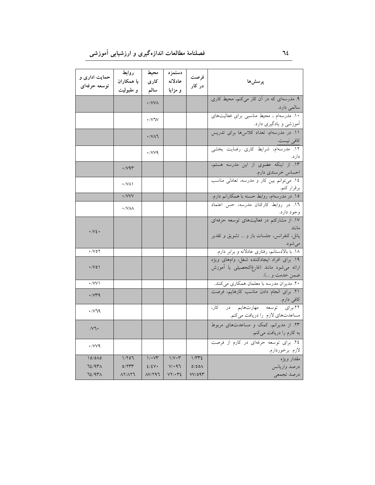| حمایت اداری و               | روابط                 | محيط                             | دستمز د       | فرصت          |                                                                 |
|-----------------------------|-----------------------|----------------------------------|---------------|---------------|-----------------------------------------------------------------|
| توسعه حرفهای                | با همکاران            | کار ی                            | عادلانه       | در کار        | پرسش ها                                                         |
|                             | و مقبولیت             | سالم                             | و مزایا       |               |                                                                 |
|                             |                       | ·/VVA                            |               |               | ۹. مدرسهای که در آن کار میکنم، محیط کاری                        |
|                             |                       |                                  |               |               | سالمي دارد.                                                     |
|                             |                       | $\cdot$ / $\vee$ $\vee$          |               |               | ۱۰. مدرسهام ، محیط مناسبی برای فعالیتهای                        |
|                             |                       |                                  |               |               | آموزشی و یادگیری دارد.                                          |
|                             |                       | $\cdot$ / $\vee$ $\wedge$ $\vee$ |               |               | ۱۱. در مدرسهام، تعداد کلاسها برای تدریس                         |
|                             |                       |                                  |               |               | كافي نيست.                                                      |
|                             |                       | $\cdot$ / $VV9$                  |               |               | ۱۲. مدرسهآم، شرایط کاری رضایت بخشی                              |
|                             |                       |                                  |               |               | دارد.                                                           |
|                             | $\cdot$ /vqr          |                                  |               |               | ١٣. از اينكه عضوى از اين مدرسه هستم،                            |
|                             |                       |                                  |               |               | احساس خرسندی دارم.<br>۱۶. میتوانم بین کار و مدرسه، تعادلی مناسب |
|                             | $\cdot$ /VA)          |                                  |               |               | برقرار كنم.                                                     |
|                             | ·/VVV                 |                                  |               |               | برقرار کنم.<br>۱۵. در مدرسهام، روابط حسنه با همکارانم دارم.     |
|                             |                       |                                  |               |               | ١٦. در روابط كاركنان مدرسه، حس اعتماد                           |
|                             | $\cdot$ /VAA          |                                  |               |               | وجود دارد.                                                      |
|                             |                       |                                  |               |               | ۱۷. از مشارکتم در فعالیتهای توسعه حرفهای                        |
| $\cdot$ / $\vee$ { $\cdot$  |                       |                                  |               |               | مانند                                                           |
|                             |                       |                                  |               |               | پانل، كنفرانس، جلسات باز و  تشويق و تقدير                       |
|                             |                       |                                  |               |               | مىشود.                                                          |
| $\cdot$ /vor                |                       |                                  |               |               | ۱۸. با بالادستانم، رفتاری عادلانه و برابر دارم.                 |
|                             |                       |                                  |               |               | ١٩. براى افراد ايجادكننده شغل، وامهاى ويژه                      |
| $\cdot$ /Vo)                |                       |                                  |               |               | ارائه میشود مانند (فارغ لتحصیلی یا آموزش                        |
|                             |                       |                                  |               |               | ضمن خدمت و …).                                                  |
| $\cdot$ /VV \               |                       |                                  |               |               | ۲۰. مدیران مدرسه با معلمان همکاری میکنند.                       |
| $\cdot$ / $V^{\mu}$         |                       |                                  |               |               | ٢١. برای انجام دادن مناسب كارهايم، فرصت                         |
|                             |                       |                                  |               |               | کافی دارم.<br>۲۲.برای توسعه مهارتهایم در کار،                   |
| $\cdot$ / $\vee$ 79         |                       |                                  |               |               | مساعدتهای لازم را دریافت میکنم.                                 |
|                             |                       |                                  |               |               | ۲۳. از مدیرانم، کمک و مساعدتهای مربوط                           |
| /VI                         |                       |                                  |               |               | به کارم را دریافت میکنم.                                        |
|                             |                       |                                  |               |               |                                                                 |
| $\cdot$ / $V$ $\vee$ $\vee$ |                       |                                  |               |               | ۲٤. برای توسعه حرفهای در کارم از فرصت                           |
| 10/0A0                      | 1/707                 | $1/\cdot \sqrt{r}$               | $1/V \cdot r$ | $1/\tau \tau$ | لازم برخوردارم.<br>مقدار ويژه                                   |
| 72/9۳۸                      | 0/777                 | 2/2V                             | V/197         | $0/00\Lambda$ | درصد واريانس                                                    |
| 72/9٣٨                      | $\lambda Y/\lambda Y$ | $\Lambda V/Y$ ۹٦                 | $VY/\cdot YZ$ | VV/O9V        | درصد تجمعي                                                      |
|                             |                       |                                  |               |               |                                                                 |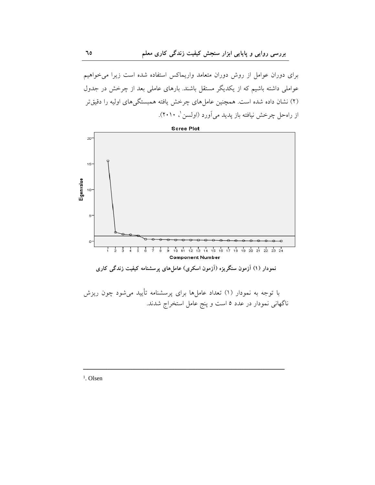برای دوران عوامل از روش دوران متعامد واریماکس استفاده شده است زیرا می خواهیم عواملی داشته باشیم که از یکدیگر مستقل باشند. بارهای عاملی بعد از چرخش در جدول (۲) نشان داده شده است. همچنین عامل های چرخش یافته همبستگی های اولیه را دقیقتر از راه حل چرخش نیافته باز یدید می آورد (اولسن '، ۲۰۱۰).



ناگهانی نمودار در عدد ٥ است و پنج عامل استخراج شدند.

<sup>1</sup>. Olsen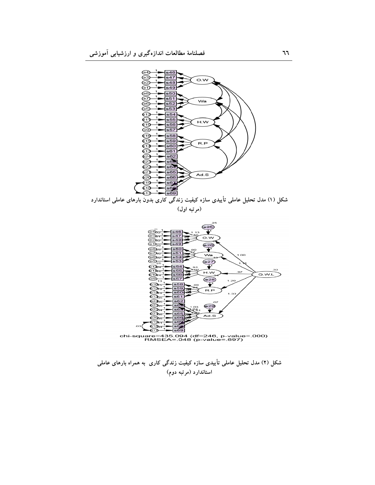

شکل (۲) مدل تحلیل عاملی تأییدی سازه کیفیت زندگی کاری به همراه بارهای عاملی استاندارد (مرتبه دوم)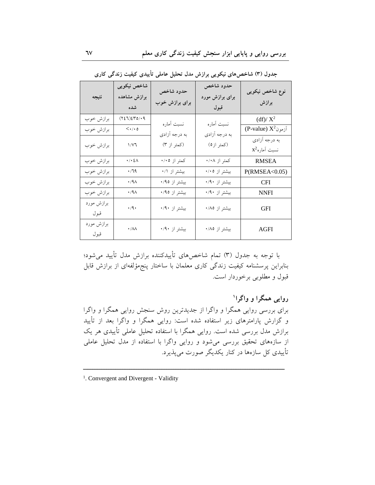| نتيجه              | شاخص نیکویی<br>برازش مشاهده<br>شده                       | حدود شاخص<br>برای برازش خوب | حدود شاخص<br>برای برازش مورد<br>قبول | نوع شاخص نیکویی<br>برازش          |
|--------------------|----------------------------------------------------------|-----------------------------|--------------------------------------|-----------------------------------|
| برازش خوب          | (727)270/19                                              | نسبت آماره                  | نسبت أماره                           | $(df)/ X^2$                       |
| برازش خوب          | $<\!\!\boldsymbol{\cdot}\!$ / $\!\!\boldsymbol{\cdot}$ 0 | به درجه آزادي               | به درجه آزادي                        | (P-value) $X^2$ اَزمون            |
| برازش خوب          | 1/V1                                                     | (کمتر از ۳)                 | (كمتر از ٥)                          | به درجه آزادي<br>$x^2$ نسبت آماره |
| برازش خوب          | $\cdot/\cdot\,$ ٤ $\wedge$                               | کمتر از ۰/۰٥                | کمتر از ۰/۰۸                         | <b>RMSEA</b>                      |
| برازش خوب          | ۰/٦٩                                                     | بیشتر از ۰/۱                | بیشتر از ۰/۰٥                        | P(RMSEA<0.05)                     |
| برازش خوب          | ۰٬۹۸                                                     | بیشتر از ۰/۹٥               | بیشتر از ۰/۹۰                        | <b>CFI</b>                        |
| برازش خوب          | ۰٬۹۸                                                     | بیشتر از ۰/۹٥               | بیشتر از ۰/۹۰                        | <b>NNFI</b>                       |
| برازش مورد<br>قبول | $\cdot$ /9 $\cdot$                                       | بیشتر از ۰/۹۰               | بیشتر از ۰/۸٥                        | <b>GFI</b>                        |
| برازش مورد<br>قبول | $\boldsymbol{\cdot}$ /<br>AA                             | بیشتر از ۰/۹۰               | بیشتر از ۰/۸٥                        | AGFI                              |

جدول (۳) شاخصهای نیکویی برازش مدل تحلیل عاملی تأییدی کیفیت زندگی کاری

با توجه به جدول (٣) تمام شاخصهای تأییدکننده برازش مدل تأیید می شود؛ بنابراین پرسشنامه کیفیت زندگی کاری معلمان با ساختار پنجمؤلفهای از برازش قابل قبول و مطلوبی برخوردار است.

روايي همگرا و واگرا' برای بررسی روایی همگرا و واگرا از جدیدترین روش سنجش روایی همگرا و واگرا و گزارش پارامترهای زیر استفاده شده است: روایی همگرا و واگرا بعد از تأیید برازش مدل بررسی شده است. روایی همگرا با استفاده تحلیل عاملی تأییدی هر یک از سازههای تحقیق بررسی میشود و روایی واگرا با استفاده از مدل تحلیل عاملی تأييدي كل سازهها در كنار يكديگر صورت مي يذيرد.

<sup>&</sup>lt;sup>1</sup>. Convergent and Divergent - Validity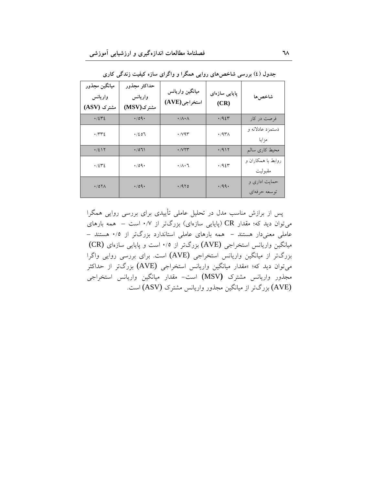| ميانگين مجذور<br>واريانس<br>مشترک (ASV) | حداكثر مجذور<br>واريانس<br>مشترک(MSV) | ميانگين واريانس<br>استخراجي (AVE) | پایایی سازەای<br>(CR) | شاخص ها                       |
|-----------------------------------------|---------------------------------------|-----------------------------------|-----------------------|-------------------------------|
| .7242                                   | $\cdot$ /09.                          | $\cdot/\Lambda \cdot \Lambda$     | .795                  | فرصت در کار                   |
| $\cdot$ rre                             | .7207                                 | $\cdot$ / $\vee$ 9 $\tau$         | $\cdot$ /9۳۸          | دستمزد عادلانه و<br>مزايا     |
| $\cdot$ /217                            | .7071                                 | $\cdot$ / $V\Upsilon\Upsilon$     | .7911                 | محيط كارى سالم                |
| .7242                                   | $\cdot$ /09.                          | $\cdot/\wedge\cdot\mathcal{A}$    | .795                  | روابط با همکاران و<br>مقبوليت |
| $\cdot$ /0 $\uparrow \wedge$            | .709.                                 | .470                              | .49.                  | حمایت اداری و<br>توسعه حرفهاي |

جدول (٤) بررسی شاخصهای روایی همگرا و واگرای سازه کیفیت زندگی کاری

پس از برازش مناسب مدل در تحلیل عاملی تأییدی برای بررسی روایی همگرا می توان دید که؛ مقدار CR (پایایی سازهای) بزرگتر از ۰/۷ است – همه بارهای عاملی معنیدار هستند - همه بارهای عاملی استاندارد بزرگتر از ۰/۵ هستند – میانگین واریانس استخراجی (AVE) بزرگتر از ۰/۵ است و پایایی سازهای (CR) بزرگتر از میانگین واریانس استخراجی (AVE) است. برای بررسی روایی واگرا می توان دید که؛ »مقدار میانگین واریانس استخراجی (AVE) بزرگتر از حداکثر مجذور واریانس مشترک (MSV) است- مقدار میانگین واریانس استخراجی (AVE) بزرگتر از میانگین مجذور واریانس مشترک (ASV) است.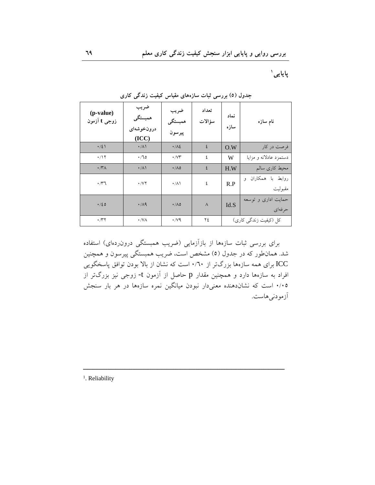یایایی`

| (p-value)<br>زوجی t آزمون | ضريب<br>همبستگي<br>درونخوشهای<br>(ICC) | ضريب<br>همبستگي<br>پيرسون | تعداد<br>سؤالات | نماد<br>سازه | نام سازه                         |
|---------------------------|----------------------------------------|---------------------------|-----------------|--------------|----------------------------------|
| $\cdot$ /2)               | $\cdot/\Lambda$                        | $\cdot/\lambda$           | ٤               | O.W          | فرصت در کار                      |
| $\cdot$ /17               | $\cdot$ /70                            | $\cdot$ / $\vee\tau$      | ٤               | W            | دستمزد عادلانه و مزايا           |
| $\cdot$ / $\gamma$ /      | $\cdot/\Lambda$                        | $\cdot/\Lambda$ 0         | ٤               | H.W          | محيط كارى سالم                   |
| $\cdot$ / $\uparrow$      | $\cdot$ / $\vee$ $\vee$                | $\cdot/\wedge$            | ٤               | R.P          | روابط با همكاران<br>و<br>مقبوليت |
| .120                      | $\cdot$ /19                            | $\cdot/\Lambda$ ٥         | $\lambda$       | Id.S         | حمایت اداری و توسعه<br>حر فەاي   |
| $\cdot$ /۳۲               | $\cdot$ /VA                            | $\cdot$ /vq               | ۲٤              |              | کل (کیفیت زندگی کاری)            |

جدول (٥) بررسی ثبات سازههای مقیاس کیفیت زندگی کاری

برای بررسی ثبات سازهها از بازآزمایی (ضریب همبستگی درون(دهای) استفاده شد. همانطور که در جدول (٥) مشخص است، ضریب همبستگی پیرسون و همچنین ICC برای همه سازهها بزرگتر از ۰/٦٠ است که نشان از بالا بودن توافق پاسخگویی افراد به سازهها دارد و همچنین مقدار p حاصل از آزمون t- زوجی نیز بزرگتر از ۰/۰۵ است که نشاندهنده معنیدار نبودن میانگین نمره سازهها در هر بار سنجش آزمودني هاست.

<sup>1</sup>. Reliability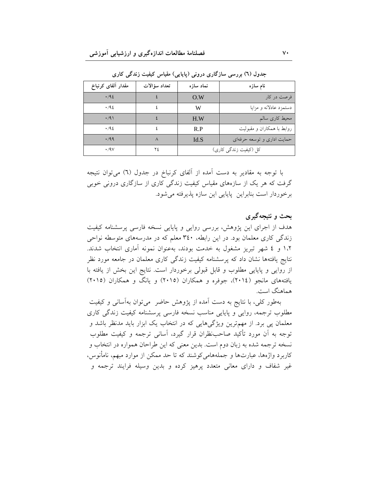| مقدار ألفاي كرنباخ | تعداد سؤالات | نماد سازه | نام سازه                   |
|--------------------|--------------|-----------|----------------------------|
| .192               |              | Q.W       | فرصت در کار                |
| $\cdot$ /92        |              | W         | دستمزد عادلانه و مزایا     |
| $\cdot$ /9)        |              | H.W       | محیط کاری سالم             |
| .46                |              | R.P       | روابط با همکاران و مقبولیت |
| .799               |              | Id.S      | حمایت اداری و توسعه حرفهای |
| $\cdot$ /9 $\vee$  | ۲٤           |           | کل (کیفیت زندگی کاری)      |

جدول (٦) بررسی سازگاری درونی (یاپایی) مقیاس کیفیت زندگی کاری

با توجه به مقادیر به دست آمده از آلفای کرنباخ در جدول (٦) میتوان نتیجه گرفت که هر یک از سازههای مقیاس کیفیت زندگی کاری از سازگاری درونی خوبی برخوردار است بنابراين پايايي اين سازه پذيرفته مي شود.

### بحث و نتیجهگیری

هدف از اجرای این پژوهش، بررسی روایی و پایایی نسخه فارسی پرسشنامه کیفیت زندگی کاری معلمان بود. در این رابطه، ۳٤٠ معلم که در مدرسههای متوسطه نواحی ۱.۲ و ٤ شهر تبریز مشغول به خدمت بودند، بهعنوان نمونه آماری انتخاب شدند. نتایج یافتهها نشان داد که پرسشنامه کیفیت زندگی کاری معلمان در جامعه مورد نظر از روایی و پایایی مطلوب و قابل قبولی برخوردار است. نتایج این بخش از یافته با یافتههای مانجو (٢٠١٤)، جوفره و همکاران (٢٠١٥) و یانگ و همکاران (٢٠١٥) هماهنگ است.

بهطور کلی، با نتایج به دست آمده از پژوهش حاضر میتوان بهآسانی و کیفیت مطلوب ترجمه، روایی و پایایی مناسب نسخه فارسی پرسشنامه کیفیت زندگی کاری معلمان پی برد. از مهمترین ویژگیهایی که در انتخاب یک ابزار باید مدنظر باشد و توجه به اَن مورد تأکید صاحبنظران قرار گیرد، اَسانی ترجمه و کیفیت مطلوب نسخه ترجمه شده به زبان دوم است. بدین معنی که این طراحان همواره در انتخاب و کاربرد واژهها، عبارتها و جملههامیکوشند که تا حد ممکن از موارد مبهم، نامأنوس، غیر شفاف و دارای معانی متعدد پرهیز کرده و بدین وسیله فرایند ترجمه و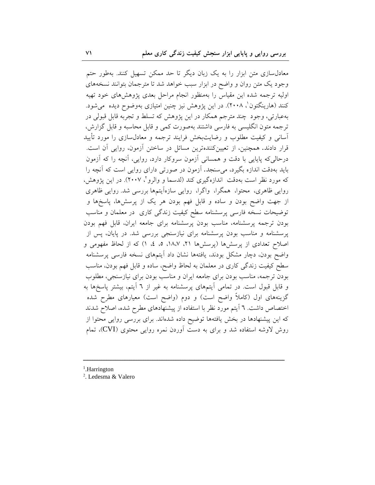معادلسازی متن ابزار را به یک زبان دیگر تا حد ممکن تسهیل کنند. بهطور حتم وجود یک متن روان و واضح در ابزار سبب خواهد شد تا مترجمان بتوانند نسخههای اولیه ترجمه شده این مقیاس را بهمنظور انجام مراحل بعدی پژوهشهای خود تهیه کنند (هارینگتون<sup>'</sup>، ۲۰۰۸). در این پژوهش نیز چنین امتیازی بهوضوح دیده می شود. بهعبارتی، وجود چند مترجم همکار در این پژوهش که تسلط و تجربه قابل قبولی در ترجمه متون انگلیسی به فارسی داشتند بهصورت کمی و قابل محاسبه و قابل گزارش، آسانی و کیفیت مطلوب و رضایتبخش فرایند ترجمه و معادل سازی را مورد تأیید قرار دادند. همچنین، از تعیینکنندهترین مسائل در ساختن آزمون، روایی آن است. درحالي كه پايايي با دقت و همساني أزمون سروكار دارد، روايي، أنچه را كه أزمون باید بهدقت اندازه بگیرد، میسنجد. آزمون در صورتی دارای روایی است که آنچه را که مورد نظر است بهدقت اندازهگیری کند (لدسما و والرو<sup>۲</sup>، ۲۰۰۷). در این یژوهش، روایی ظاهری، محتوا، همگرا، واگرا، روایی سازهآیتمها بررسی شد. روایی ظاهری از جهت واضح بودن و ساده و قابل فهم بودن هر یک از پرسشها، پاسخها و توضیحات نسخه فارسی پرسشنامه سطح کیفیت زندگی کاری در معلمان و مناسب بودن ترجمه پرسشنامه، مناسب بودن پرسشنامه برای جامعه ایران، قابل فهم بودن پرسشنامه و مناسب بودن پرسشنامه برای نیازسنجی بررسی شد. در پایان، پس از اصلاح تعدادی از پرسشها (پرسشها ۲۱، ۱۸،۷، ۵، ٤، ۱) که از لحاظ مفهومی و واضح بودن، دچار مشکل بودند، یافتهها نشان داد آیتمهای نسخه فارسی پرسشنامه سطح كيفيت زندگي كاري در معلمان به لحاظ واضح، ساده و قابل فهم بودن، مناسب بودن ترجمه، مناسب بودن براي جامعه ايران و مناسب بودن براي نيازسنجي، مطلوب و قابل قبول است. در تمامی آیتمهای پرسشنامه به غیر از ٦ آیتم، بیشتر پاسخها به گزینههای اول (کاملاً واضح است) و دوم (واضح است) معیارهای مطرح شده اختصاص داشت. ٦ آیتم مورد نظر با استفاده از پیشنهادهای مطرح شده، اصلاح شدند که این پیشنهادها در بخش یافتهها توضیح داده شدهاند. برای بررسی روایی محتوا از روش لاوشه استفاده شد و برای به دست آوردن نمره روایی محتوی (CVI)، تمام

- $<sup>1</sup>$ .Harrington</sup>
- <sup>2</sup>. Ledesma & Valero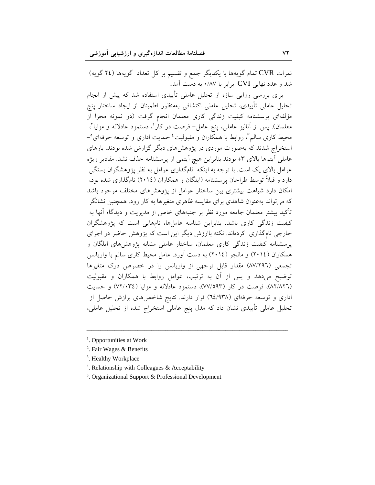نمرات CVR تمام گویهها با یکدیگر جمع و تقسیم بر کل تعداد گویهها (٢٤ گویه) شد و عدد نهایی CVI برابر با ۰/۸۷ به دست آمد.

برای بررسی روایی سازه از تحلیل عاملی تأییدی استفاده شد که پیش از انجام تحلیل عاملی تأییدی، تحلیل عاملی اکتشافی بهمنظور اطمینان از ایجاد ساختار پنج مؤلفهای پرسشنامه کیفیت زندگی کاری معلمان انجام گرفت (دو نمونه مجزا از معلمان). پس از آنالیز عاملی، پنج عامل- فرصت در کار '، دستمزد عادلانه و مزایا '، محیط کاری سالم"، روابط با همکاران و مقبولیت<sup>؛</sup> حمایت اداری و توسعه حرفهای°– استخراج شدند که بهصورت موردی در پژوهشهای دیگر گزارش شده بودند. بارهای عاملي آيتمها بالاي ٣+ بودند بنابراين هيچ آيتمي از پرسشنامه حذف نشد. مقادير ويژه عوامل بالای یک است. با توجه به اینکه نامگذاری عوامل به نظر پژوهشگران بستگی دارد و قبلاً توسط طراحان پرسشنامه (ایلگان و همکاران (٢٠١٤) نامگذاری شده بود، امکان دارد شباهت بیشتری بین ساختار عوامل از پژوهشهای مختلف موجود باشد که میتواند بهعنوان شاهدی برای مقایسه ظاهری متغیرها به کار رود. همچنین نشانگر تأکید بیشتر معلمان جامعه مورد نظر بر جنبههای خاص از مدیریت و دیدگاه آنها به کیفیت زندگی کاری باشد. بنابراین شناسه عاملها، نامهایی است که پژوهشگران خارجی نامگذاری کردهاند. نکته باارزش دیگر این است که پژوهش حاضر در اجرای پرسشنامه کیفیت زندگی کاری معلمان، ساختار عاملی مشابه پژوهش های ایلگان و همکاران (٢٠١٤) و مانجو (٢٠١٤) به دست آورد. عامل محیط کاری سالم با واریانس تجمعی (٨٧/٢٩٦) مقدار قابل توجهی از واریانس را در خصوص درک متغیرها توضیح میدهد و پس از آن به ترتیب، عوامل روابط با همکاران و مقبولیت (٨٢/٨٢٦)، فرصت در كار (٧٧/٥٩٣)، دستمزد عادلانه و مزايا (٧٢/٠٣٤) و حمايت اداری و توسعه حرفهای (٦٤/٩٣٨) قرار دارند. نتایج شاخصهای برازش حاصل از تحلیل عاملی تأییدی نشان داد که مدل پنج عاملی استخراج شده از تحلیل عاملی،

- <sup>3</sup>. Healthy Workplace
- <sup>4</sup>. Relationship with Colleagues & Acceptability
- <sup>5</sup>. Organizational Support & Professional Development

<sup>&</sup>lt;sup>1</sup>. Opportunities at Work

<sup>&</sup>lt;sup>2</sup>. Fair Wages & Benefits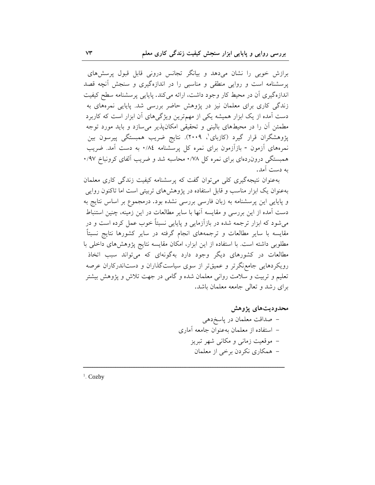برازش خوبی را نشان میدهد و بیانگر تجانس درونی قابل قبول پرسشهای یرسشنامه است و روایی منطقی و مناسبی را در اندازهگیری و سنجش آنچه قصد اندازهگیری آن در محیط کار وجود داشت، ارائه میکند. پایایی پرسشنامه سطح کیفیت زندگی کاری برای معلمان نیز در پژوهش حاضر بررسی شد. پایایی نمرههای به دست آمده از یک ابزار همیشه یکی از مهمترین ویژگیهای آن ابزار است که کاربرد مطمئن أن را در محیطهای بالینی و تحقیقی امکانپذیر میسازد و باید مورد توجه پژوهشگران قرار گیرد (کازبای'، ۲۰۰۹). نتایج ضریب همبستگی پیرسون بین نمرههای آزمون - بازآزمون برای نمره کل پرسشنامه ۰/۸٤ به دست آمد. ضریب همبستگی درون ردهای برای نمره کل ۰/۷۸ محاسبه شد و ضریب آلفای کرونباخ ۰/۹۷ به دست آمد.

بهعنوان نتیجهگیری کلی می توان گفت که پرسشنامه کیفیت زندگی کاری معلمان بهعنوان یک ابزار مناسب و قابل استفاده در پژوهشهای تربیتی است اما تاکنون روایی و پایایی این پرسشنامه به زبان فارسی بررسی نشده بود. درمجموع بر اساس نتایج به دست آمده از این بررسی و مقایسه آنها با سایر مطالعات در این زمینه، چنین استنباط می شود که ابزار ترجمه شده در بازآزمایی و پایایی نسبتاً خوب عمل کرده است و در مقایسه با سایر مطالعات و ترجمههای انجام گرفته در سایر کشورها نتایج نسبتاً مطلوبی داشته است. با استفاده از این ابزار، امکان مقایسه نتایج پژوهشهای داخلی با مطالعات در کشورهای دیگر وجود دارد بهگونهای که میتواند سبب اتخاذ رویکردهایی جامعنگرتر و عمیقتر از سوی سیاستگذاران و دستاندرکاران عرصه تعلیم و تربیت و سلامت روانی معلمان شده و گامی در جهت تلاش و یژوهش بیشتر برای رشد و تعالی جامعه معلمان باشد.

# محدودیتهای پژوهش – صداقت معلمان در پاسخ دهی – استفاده از معلمان بهعنوان جامعه آماري – موقعیت زمانی و مکانی شهر تبریز – همکاري نکردن برخي از معلمان

 $1$ . Cozby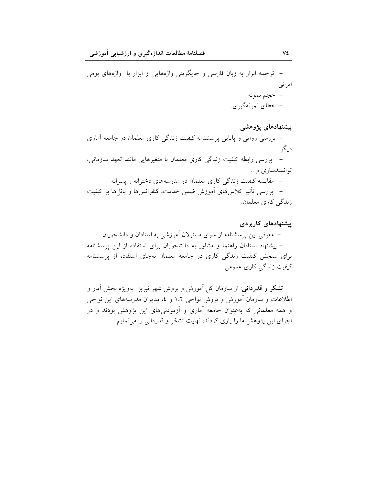– ترجمه ابزار به زبان فارسی و جایگزینی واژههایی از ابزار با واژههای بومی ايراني – حجم نمونه – خطای نمونهگیری.

پیشنهادهای پژوهشی – بررسی روایی و پایایی پرسشنامه کیفیت زندگی کاری معلمان در جامعه آماری د بگر – بررسی رابطه کیفیت زندگی کاری معلمان با متغیرهایی مانند تعهد سازمانی، توانمندسازی و … – مقايسه كيفيت زندگي كاري معلمان در مدرسههاي دخترانه و پسرانه – بررسی تأثیر کلاس۵های أموزش ضمن خدمت، کنفرانس۱ا و پانل۱ها بر کیفیت زندگی کاری معلمان.

پیشنهادهای کاربر دی – معرفی این پرسشنامه از سوی مسئولان أموزشی به استادان و دانشجویان – پیشنهاد استادان راهنما و مشاور به دانشجویان برای استفاده از این پرسشنامه برای سنجش کیفیت زندگی کاری در جامعه معلمان بهجای استفاده از پرسشنامه کیفیت زندگی کاری عمومی.

**تشکر و قدردانی**: از سازمان کل آموزش و پروش شهر تبریز بهویژه بخش آمار و اطلاعات و سازمان آموزش و پروش نواحی ۱،۲ و ٤، مدیران مدرسههای این نواحی و همه معلمانی که بهعنوان جامعه آماری و آزمودنیهای این پژوهش بودند و در اجرای این پژوهش ما را یاری کردند، نهایت تشکر و قدردانی را می نمایم.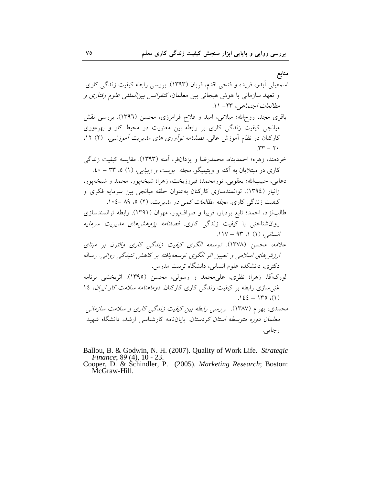منابع

- Ballou, B. & Godwin, N. H. (2007). Quality of Work Life. Strategic Finance; 89 (4), 10 23.<br>Cooper, D. & Schindler, P. (2005). Marketing Research; Boston: McGraw-Hill.
	-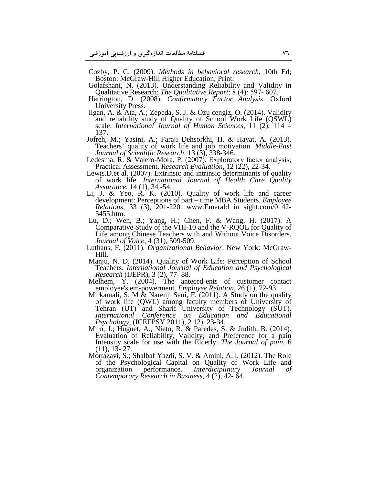Cozby, P. C. (2009). *Methods in behavioral research*, 10th Ed; Boston: McGraw-Hill Higher Education; Print.

- Golafshani, N. (2013). Understanding Reliability and Validity in Qualitative Research; *The Qualitative Report*; 8 (4): 597- 607.
- Harrington, D. (2008). *Confirmatory Factor Analysis*. Oxford University Press.
- Ilgan, A. & Ata, A.; Zepeda, S. J. & Ozu cengiz, O. (2014). Validity and reliability study of Quality of School Work Life (QSWL) scale. *International Journal of Human Sciences*, 11 (2), 114 – 137.
- Jofreh, M.; Yasini, A.; Faraji Dehsorkhi, H. & Hayat, A. (2013). Teachers' quality of work life and job motivation. *Middle-East Journal of Scientific Research*, 13 (3), 338-346.
- Ledesma, R. & Valero-Mora, P. (2007). Exploratory factor analysis; Practical Assessment. *Research Evaluation*, 12 (22), 22-34.
- Lewis.D.et al. (2007). Extrinsic and intrinsic determinants of quality of work life. *International Journal of Health Care Quality Assurance*, 14 (1), 34 -54.
- Li, J. & Yeo, R. K. (2010). Quality of work life and career development: Perceptions of part – time MBA Students. *Employee Relations*, 33 (3), 201-220. www.Emerald in sight.com/0142- 5455.htm.
- Lu, D.; Wen, B.; Yang, H.; Chen, F. & Wang, H. (2017). A Comparative Study of the VHI-10 and the V-RQOL for Quality of Life among Chinese Teachers with and Without Voice Disorders. *Journal of Voice*, 4 (31), 509-509.
- Luthans, F. (2011). *Organizational Behavior*. New York: McGraw-Hill.
- Manju, N. D. (2014). Quality of Work Life: Perception of School Teachers. *International Journal of Education and Psychological Research* (IJEPR), 3 (2), 77- 88.
- Melhem, Y. (2004). The anteced-ents of customer contact employee's em-powerment. *Employee Relation*, 26 (1), 72-93.
- Mirkamali, S. M & Narenji Sani, F. (2011). A Study on the quality of work life (QWL) among faculty members of University of Tehran (UT) and Sharif University of Technology (SUT). *International Conference on Education and Educational Psychology*, (ICEEPSY 2011), 2 12), 23-34.
- Miro, J.; Huguet, A., Nieto, R. & Paredes, S. & Judith, B. (2014). Evaluation of Reliability, Validity, and Preference for a pain Intensity scale for use with the Elderly. *The Journal of pain*, 6 (11), 13- 27.
- Mortazavi, S.; Shalbaf Yazdi, S. V. & Amini, A. l. (2012). The Role of the Psychological Capital on Quality of Work Life and organization performance. *Interdiciplinary Journal of* Interdiciplinary Journal of *Contemporary Research in Business*, 4 (2), 42- 64.